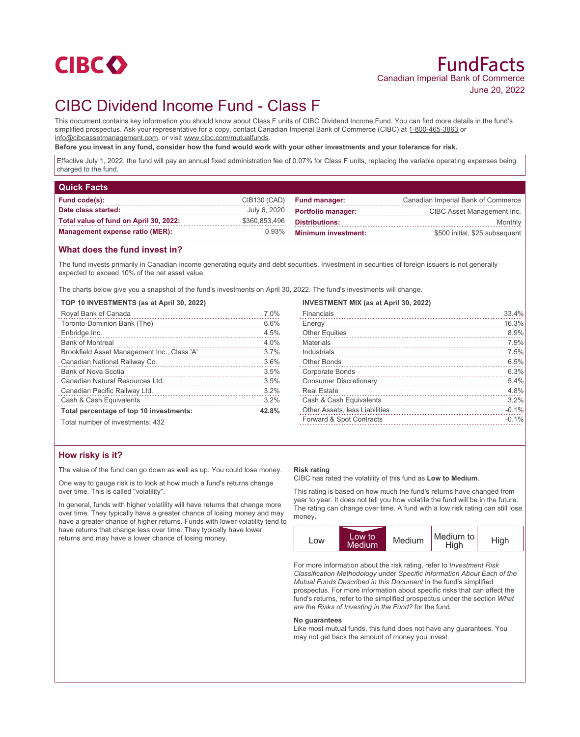

## FundFacts Canadian Imperial Bank of Commerce June 20, 2022

# CIBC Dividend Income Fund - Class F

This document contains key information you should know about Class F units of CIBC Dividend Income Fund. You can find more details in the fund's simplified prospectus. Ask your representative for a copy, contact Canadian Imperial Bank of Commerce (CIBC) at 1-800-465-3863 or info@cibcassetmanagement.com, or visit www.cibc.com/mutualfunds.

**Before you invest in any fund, consider how the fund would work with your other investments and your tolerance for risk.**

Effective July 1, 2022, the fund will pay an annual fixed administration fee of 0.07% for Class F units, replacing the variable operating expenses being charged to the fund.

| <b>Quick Facts</b>                     |               |                            |                                    |
|----------------------------------------|---------------|----------------------------|------------------------------------|
| <b>Fund code(s):</b>                   | CIB130 (CAD)  | <b>Fund manager:</b>       | Canadian Imperial Bank of Commerce |
| Date class started:                    | July 6, 2020  | <b>Portfolio manager:</b>  | CIBC Asset Management Inc.         |
| Total value of fund on April 30, 2022: | \$360,853,496 | <b>Distributions:</b>      | Monthly                            |
| <b>Management expense ratio (MER):</b> | 0.93%         | <b>Minimum investment:</b> | \$500 initial, \$25 subsequent     |

## **What does the fund invest in?**

The fund invests primarily in Canadian income generating equity and debt securities. Investment in securities of foreign issuers is not generally expected to exceed 10% of the net asset value.

The charts below give you a snapshot of the fund's investments on April 30, 2022. The fund's investments will change.

#### **TOP 10 INVESTMENTS (as at April 30, 2022)**

| Royal Bank of Canada                        | 7.0%  |
|---------------------------------------------|-------|
| Toronto-Dominion Bank (The)                 | 6.6%  |
| Enbridge Inc.                               | 4.5%  |
| <b>Bank of Montreal</b>                     | 4.0%  |
| Brookfield Asset Management Inc., Class 'A' | 3.7%  |
| Canadian National Railway Co.               | 3.6%  |
| Bank of Nova Scotia                         | 3.5%  |
| Canadian Natural Resources Ltd.             | 3.5%  |
| Canadian Pacific Railway Ltd.               | 3.2%  |
| Cash & Cash Equivalents                     | 3.2%  |
| Total percentage of top 10 investments:     | 42.8% |
| Total number of investments: 432            |       |

#### **INVESTMENT MIX (as at April 30, 2022)**

| Financials                     | 33.4%   |
|--------------------------------|---------|
| Energy                         | 16.3%   |
| <b>Other Equities</b>          | 8.9%    |
| Materials                      | 7.9%    |
| Industrials                    | 7.5%    |
| <b>Other Bonds</b>             | 6.5%    |
| Corporate Bonds                | 6.3%    |
| <b>Consumer Discretionary</b>  | 5.4%    |
| <b>Real Estate</b>             | 4.8%    |
| Cash & Cash Equivalents        | 3.2%    |
| Other Assets, less Liabilities | $-0.1%$ |
| Forward & Spot Contracts       | $-0.1%$ |
|                                |         |

## **How risky is it?**

The value of the fund can go down as well as up. You could lose money.

One way to gauge risk is to look at how much a fund's returns change over time. This is called "volatility".

In general, funds with higher volatility will have returns that change more over time. They typically have a greater chance of losing money and may have a greater chance of higher returns. Funds with lower volatility tend to have returns that change less over time. They typically have lower returns and may have a lower chance of losing money.

#### **Risk rating**

CIBC has rated the volatility of this fund as **Low to Medium**.

This rating is based on how much the fund's returns have changed from year to year. It does not tell you how volatile the fund will be in the future. The rating can change over time. A fund with a low risk rating can still lose money.



For more information about the risk rating, refer to *Investment Risk Classification Methodology* under *Specific Information About Each of the Mutual Funds Described in this Document* in the fund's simplified prospectus. For more information about specific risks that can affect the fund's returns, refer to the simplified prospectus under the section *What are the Risks of Investing in the Fund?* for the fund.

#### **No guarantees**

Like most mutual funds, this fund does not have any guarantees. You may not get back the amount of money you invest.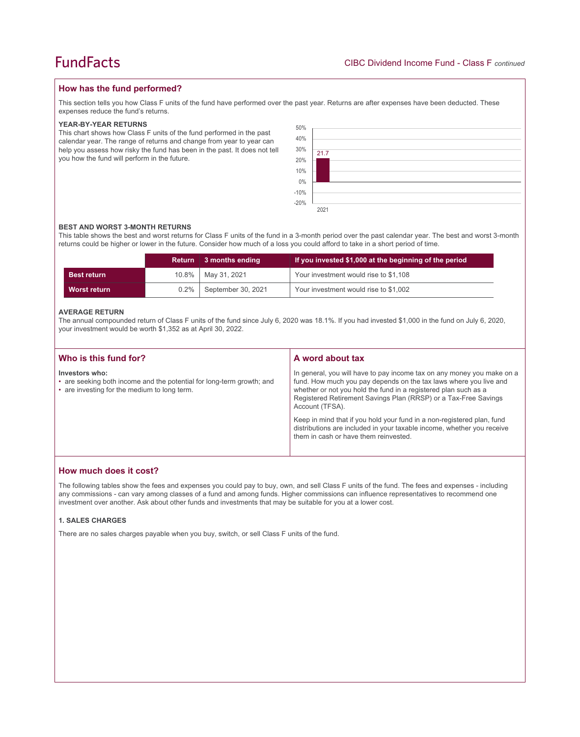## **How has the fund performed?**

This section tells you how Class F units of the fund have performed over the past year. Returns are after expenses have been deducted. These expenses reduce the fund's returns.

### **YEAR-BY-YEAR RETURNS**

This chart shows how Class F units of the fund performed in the past calendar year. The range of returns and change from year to year can help you assess how risky the fund has been in the past. It does not tell you how the fund will perform in the future.

| 50%                |      |
|--------------------|------|
| 40%                |      |
| 30%<br>20%         | 21.7 |
|                    |      |
| 10%                |      |
| $0\%$              |      |
| $-10\%$<br>$-20\%$ |      |
|                    |      |
|                    | 2021 |

#### **BEST AND WORST 3-MONTH RETURNS**

This table shows the best and worst returns for Class F units of the fund in a 3-month period over the past calendar year. The best and worst 3-month returns could be higher or lower in the future. Consider how much of a loss you could afford to take in a short period of time.

|                    | <b>Return</b> | 3 months ending      | If you invested \$1,000 at the beginning of the period |  |
|--------------------|---------------|----------------------|--------------------------------------------------------|--|
| <b>Best return</b> |               | 10.8%   May 31, 2021 | Your investment would rise to \$1,108                  |  |
| Worst return       | $0.2\%$       | September 30, 2021   | Your investment would rise to \$1,002                  |  |

#### **AVERAGE RETURN**

The annual compounded return of Class F units of the fund since July 6, 2020 was 18.1%. If you had invested \$1,000 in the fund on July 6, 2020, your investment would be worth \$1,352 as at April 30, 2022.

| Who is this fund for?                                                                                                                   | A word about tax                                                                                                                                                                                                                                                                                     |  |
|-----------------------------------------------------------------------------------------------------------------------------------------|------------------------------------------------------------------------------------------------------------------------------------------------------------------------------------------------------------------------------------------------------------------------------------------------------|--|
| Investors who:<br>• are seeking both income and the potential for long-term growth; and<br>• are investing for the medium to long term. | In general, you will have to pay income tax on any money you make on a<br>fund. How much you pay depends on the tax laws where you live and<br>whether or not you hold the fund in a registered plan such as a<br>Registered Retirement Savings Plan (RRSP) or a Tax-Free Savings<br>Account (TFSA). |  |
|                                                                                                                                         | Keep in mind that if you hold your fund in a non-registered plan, fund<br>distributions are included in your taxable income, whether you receive<br>them in cash or have them reinvested.                                                                                                            |  |

## **How much does it cost?**

The following tables show the fees and expenses you could pay to buy, own, and sell Class F units of the fund. The fees and expenses - including any commissions - can vary among classes of a fund and among funds. Higher commissions can influence representatives to recommend one investment over another. Ask about other funds and investments that may be suitable for you at a lower cost.

### **1. SALES CHARGES**

There are no sales charges payable when you buy, switch, or sell Class F units of the fund.